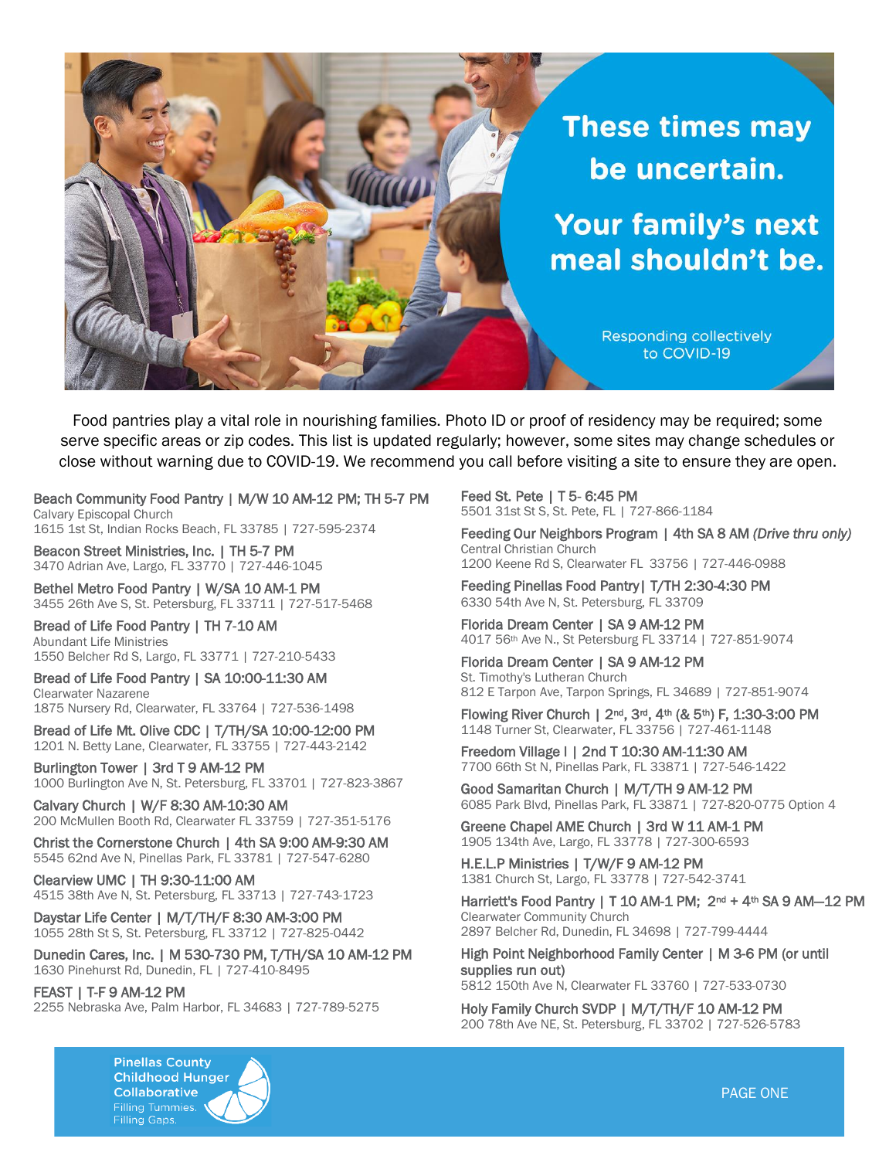

Food pantries play a vital role in nourishing families. Photo ID or proof of residency may be required; some serve specific areas or zip codes. This list is updated regularly; however, some sites may change schedules or close without warning due to COVID-19. We recommend you call before visiting a site to ensure they are open.

Beach Community Food Pantry | M/W 10 AM-12 PM; TH 5-7 PM Calvary Episcopal Church 1615 1st St, Indian Rocks Beach, FL 33785 | 727-595-2374

Beacon Street Ministries, Inc. | TH 5-7 PM 3470 Adrian Ave, Largo, FL 33770 | 727-446-1045

Bethel Metro Food Pantry | W/SA 10 AM-1 PM 3455 26th Ave S, St. Petersburg, FL 33711 | 727-517-5468

Bread of Life Food Pantry | TH 7-10 AM Abundant Life Ministries 1550 Belcher Rd S, Largo, FL 33771 | 727-210-5433

Bread of Life Food Pantry | SA 10:00-11:30 AM Clearwater Nazarene

1875 Nursery Rd, Clearwater, FL 33764 | 727-536-1498

Bread of Life Mt. Olive CDC | T/TH/SA 10:00-12:00 PM 1201 N. Betty Lane, Clearwater, FL 33755 | 727-443-2142

Burlington Tower | 3rd T 9 AM-12 PM 1000 Burlington Ave N, St. Petersburg, FL 33701 | 727-823-3867

Calvary Church | W/F 8:30 AM-10:30 AM 200 McMullen Booth Rd, Clearwater FL 33759 | 727-351-5176

Christ the Cornerstone Church | 4th SA 9:00 AM-9:30 AM 5545 62nd Ave N, Pinellas Park, FL 33781 | 727-547-6280

Clearview UMC | TH 9:30-11:00 AM 4515 38th Ave N, St. Petersburg, FL 33713 | 727-743-1723

Daystar Life Center | M/T/TH/F 8:30 AM-3:00 PM 1055 28th St S, St. Petersburg, FL 33712 | 727-825-0442

Dunedin Cares, Inc. | M 530-730 PM, T/TH/SA 10 AM-12 PM 1630 Pinehurst Rd, Dunedin, FL | 727-410-8495

FEAST | T-F 9 AM-12 PM 2255 Nebraska Ave, Palm Harbor, FL 34683 | 727-789-5275 Feed St. Pete | T 5- 6:45 PM 5501 31st St S, St. Pete, FL | 727-866-1184

Feeding Our Neighbors Program | 4th SA 8 AM *(Drive thru only)* Central Christian Church 1200 Keene Rd S, Clearwater FL 33756 | 727-446-0988

Feeding Pinellas Food Pantry| T/TH 2:30-4:30 PM 6330 54th Ave N, St. Petersburg, FL 33709

Florida Dream Center | SA 9 AM-12 PM 4017 56th Ave N., St Petersburg FL 33714 | 727-851-9074

Florida Dream Center | SA 9 AM-12 PM St. Timothy's Lutheran Church 812 E Tarpon Ave, Tarpon Springs, FL 34689 | 727-851-9074

Flowing River Church | 2nd, 3rd, 4th (& 5th) F, 1:30-3:00 PM 1148 Turner St, Clearwater, FL 33756 | 727-461-1148

Freedom Village I | 2nd T 10:30 AM-11:30 AM 7700 66th St N, Pinellas Park, FL 33871 | 727-546-1422

Good Samaritan Church | M/T/TH 9 AM-12 PM 6085 Park Blvd, Pinellas Park, FL 33871 | 727-820-0775 Option 4

Greene Chapel AME Church | 3rd W 11 AM-1 PM 1905 134th Ave, Largo, FL 33778 | 727-300-6593

H.E.L.P Ministries | T/W/F 9 AM-12 PM 1381 Church St, Largo, FL 33778 | 727-542-3741

Harriett's Food Pantry | T 10 AM-1 PM; 2<sup>nd</sup> + 4<sup>th</sup> SA 9 AM-12 PM Clearwater Community Church 2897 Belcher Rd, Dunedin, FL 34698 | 727-799-4444

High Point Neighborhood Family Center | M 3-6 PM (or until supplies run out) 5812 150th Ave N, Clearwater FL 33760 | 727-533-0730

Holy Family Church SVDP | M/T/TH/F 10 AM-12 PM 200 78th Ave NE, St. Petersburg, FL 33702 | 727-526-5783

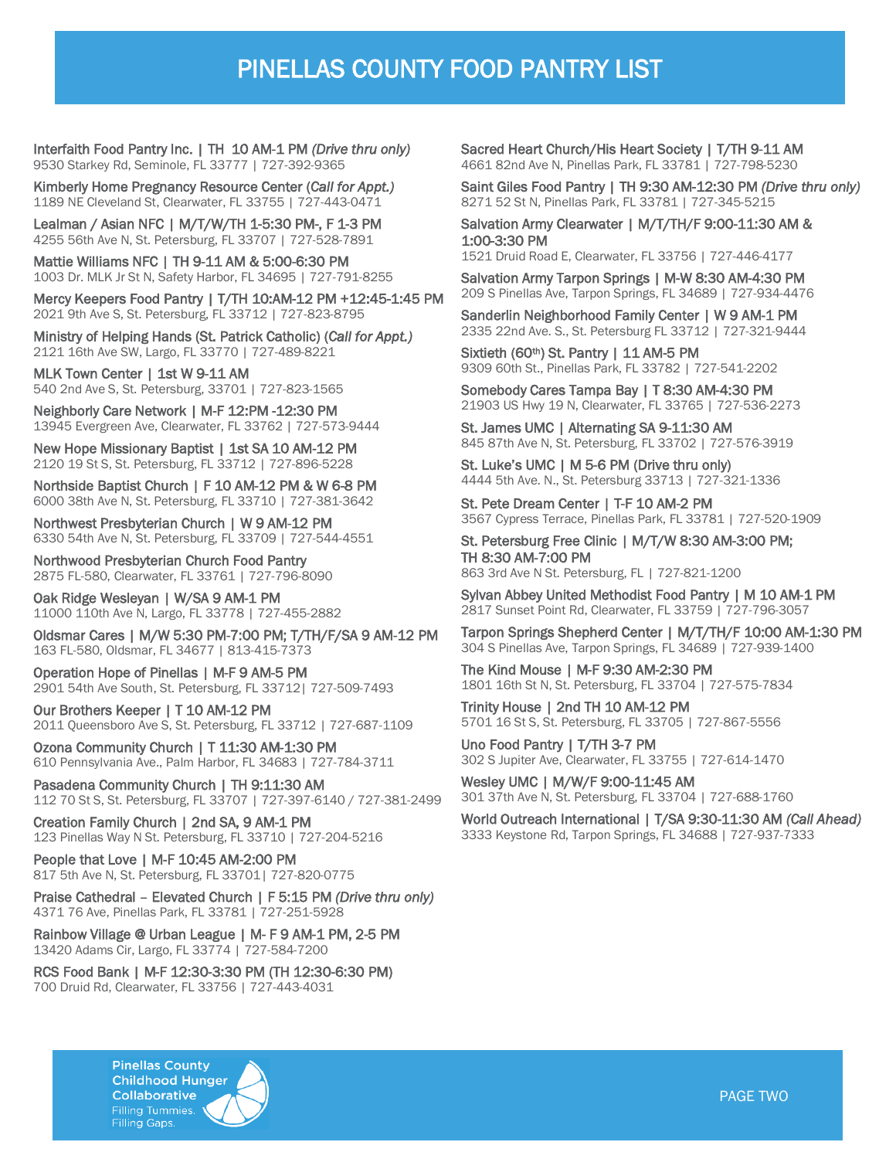## PINELLAS COUNTY FOOD PANTRY LIST

Interfaith Food Pantry Inc. | TH 10 AM-1 PM *(Drive thru only)* 9530 Starkey Rd, Seminole, FL 33777 | 727-392-9365

Kimberly Home Pregnancy Resource Center (*Call for Appt.)* 1189 NE Cleveland St, Clearwater, FL 33755 | 727-443-0471

Lealman / Asian NFC | M/T/W/TH 1-5:30 PM-, F 1-3 PM 4255 56th Ave N, St. Petersburg, FL 33707 | 727-528-7891

Mattie Williams NFC | TH 9-11 AM & 5:00-6:30 PM 1003 Dr. MLK Jr St N, Safety Harbor, FL 34695 | 727-791-8255

Mercy Keepers Food Pantry | T/TH 10:AM-12 PM +12:45-1:45 PM 2021 9th Ave S, St. Petersburg, FL 33712 | 727-823-8795

Ministry of Helping Hands (St. Patrick Catholic) (*Call for Appt.)* 2121 16th Ave SW, Largo, FL 33770 | 727-489-8221

MLK Town Center | 1st W 9-11 AM 540 2nd Ave S, St. Petersburg, 33701 | 727-823-1565

Neighborly Care Network | M-F 12:PM -12:30 PM 13945 Evergreen Ave, Clearwater, FL 33762 | 727-573-9444

New Hope Missionary Baptist | 1st SA 10 AM-12 PM 2120 19 St S, St. Petersburg, FL 33712 | 727-896-5228

Northside Baptist Church | F 10 AM-12 PM & W 6-8 PM 6000 38th Ave N, St. Petersburg, FL 33710 | 727-381-3642

Northwest Presbyterian Church | W 9 AM-12 PM 6330 54th Ave N, St. Petersburg, FL 33709 | 727-544-4551

Northwood Presbyterian Church Food Pantry 2875 FL-580, Clearwater, FL 33761 | 727-796-8090

Oak Ridge Wesleyan | W/SA 9 AM-1 PM 11000 110th Ave N, Largo, FL 33778 | 727-455-2882

Oldsmar Cares | M/W 5:30 PM-7:00 PM; T/TH/F/SA 9 AM-12 PM 163 FL-580, Oldsmar, FL 34677 | 813-415-7373

Operation Hope of Pinellas | M-F 9 AM-5 PM 2901 54th Ave South, St. Petersburg, FL 33712| 727-509-7493

Our Brothers Keeper | T 10 AM-12 PM 2011 Queensboro Ave S, St. Petersburg, FL 33712 | 727-687-1109

Ozona Community Church | T 11:30 AM-1:30 PM 610 Pennsylvania Ave., Palm Harbor, FL 34683 | 727-784-3711

Pasadena Community Church | TH 9:11:30 AM 112 70 St S, St. Petersburg, FL 33707 | 727-397-6140 / 727-381-2499

Creation Family Church | 2nd SA, 9 AM-1 PM 123 Pinellas Way N St. Petersburg, FL 33710 | 727-204-5216

People that Love | M-F 10:45 AM-2:00 PM 817 5th Ave N, St. Petersburg, FL 33701| 727-820-0775

Praise Cathedral – Elevated Church | F 5:15 PM *(Drive thru only)* 4371 76 Ave, Pinellas Park, FL 33781 | 727-251-5928

Rainbow Village @ Urban League | M- F 9 AM-1 PM, 2-5 PM 13420 Adams Cir, Largo, FL 33774 | 727-584-7200

RCS Food Bank | M-F 12:30-3:30 PM (TH 12:30-6:30 PM) 700 Druid Rd, Clearwater, FL 33756 | 727-443-4031

Sacred Heart Church/His Heart Society | T/TH 9-11 AM 4661 82nd Ave N, Pinellas Park, FL 33781 | 727-798-5230

Saint Giles Food Pantry | TH 9:30 AM-12:30 PM *(Drive thru only)* 8271 52 St N, Pinellas Park, FL 33781 | 727-345-5215

Salvation Army Clearwater | M/T/TH/F 9:00-11:30 AM & 1:00-3:30 PM

1521 Druid Road E, Clearwater, FL 33756 | 727-446-4177

Salvation Army Tarpon Springs | M-W 8:30 AM-4:30 PM 209 S Pinellas Ave, Tarpon Springs, FL 34689 | 727-934-4476

Sanderlin Neighborhood Family Center | W 9 AM-1 PM 2335 22nd Ave. S., St. Petersburg FL 33712 | 727-321-9444

Sixtieth (60<sup>th</sup>) St. Pantry | 11 AM-5 PM 9309 60th St., Pinellas Park, FL 33782 | 727-541-2202

Somebody Cares Tampa Bay | T 8:30 AM-4:30 PM 21903 US Hwy 19 N, Clearwater, FL 33765 | 727-536-2273

St. James UMC | Alternating SA 9-11:30 AM 845 87th Ave N, St. Petersburg, FL 33702 | 727-576-3919

St. Luke's UMC | M 5-6 PM (Drive thru only) 4444 5th Ave. N., St. Petersburg 33713 | 727-321-1336

St. Pete Dream Center | T-F 10 AM-2 PM 3567 Cypress Terrace, Pinellas Park, FL 33781 | 727-520-1909

St. Petersburg Free Clinic | M/T/W 8:30 AM-3:00 PM; TH 8:30 AM-7:00 PM 863 3rd Ave N St. Petersburg, FL | 727-821-1200

Sylvan Abbey United Methodist Food Pantry | M 10 AM-1 PM 2817 Sunset Point Rd, Clearwater, FL 33759 | 727-796-3057

Tarpon Springs Shepherd Center | M/T/TH/F 10:00 AM-1:30 PM 304 S Pinellas Ave, Tarpon Springs, FL 34689 | 727-939-1400

The Kind Mouse | M-F 9:30 AM-2:30 PM 1801 16th St N, St. Petersburg, FL 33704 | 727-575-7834

Trinity House | 2nd TH 10 AM-12 PM 5701 16 St S, St. Petersburg, FL 33705 | 727-867-5556

Uno Food Pantry | T/TH 3-7 PM 302 S Jupiter Ave, Clearwater, FL 33755 | 727-614-1470

Wesley UMC | M/W/F 9:00-11:45 AM 301 37th Ave N, St. Petersburg, FL 33704 | 727-688-1760

World Outreach International | T/SA 9:30-11:30 AM *(Call Ahead)* 3333 Keystone Rd, Tarpon Springs, FL 34688 | 727-937-7333

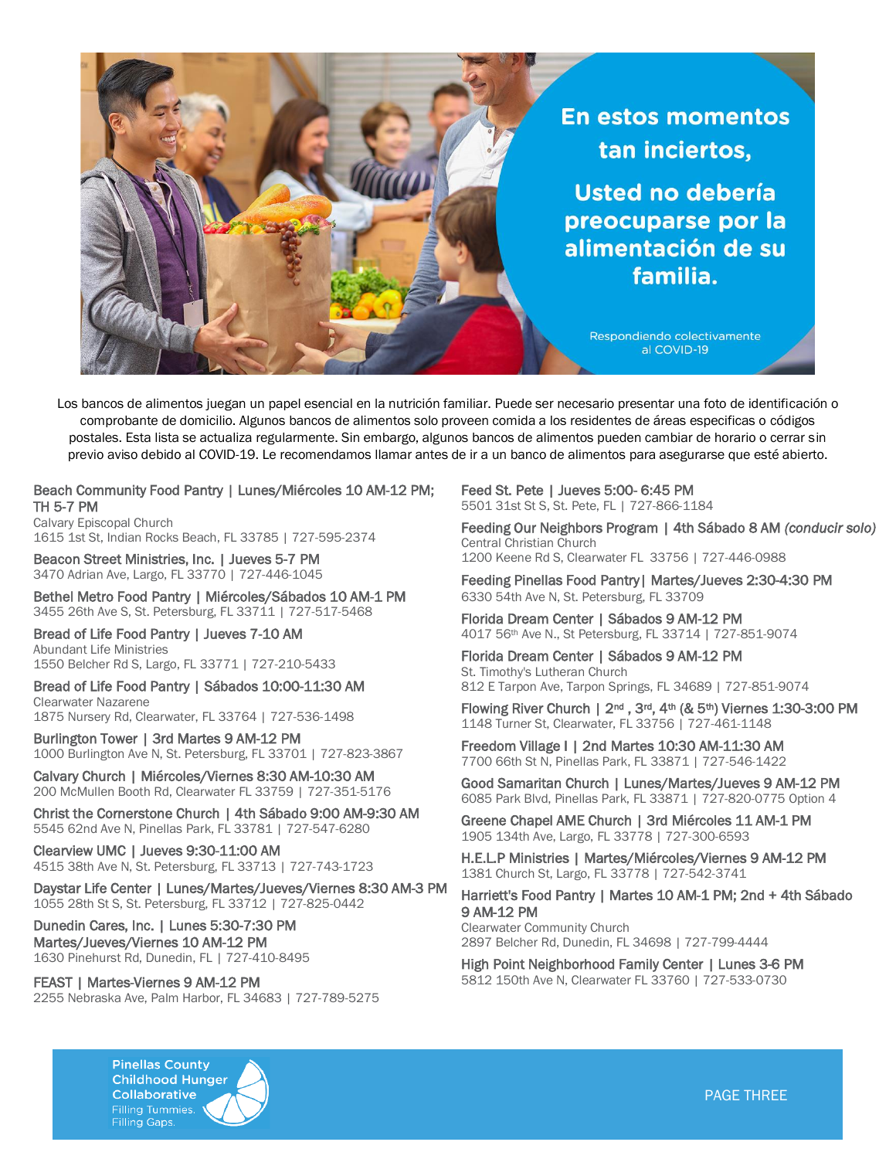

Los bancos de alimentos juegan un papel esencial en la nutrición familiar. Puede ser necesario presentar una foto de identificación o comprobante de domicilio. Algunos bancos de alimentos solo proveen comida a los residentes de áreas especificas o códigos postales. Esta lista se actualiza regularmente. Sin embargo, algunos bancos de alimentos pueden cambiar de horario o cerrar sin previo aviso debido al COVID-19. Le recomendamos llamar antes de ir a un banco de alimentos para asegurarse que esté abierto.

Beach Community Food Pantry | Lunes/Miércoles 10 AM-12 PM; TH 5-7 PM

Calvary Episcopal Church 1615 1st St, Indian Rocks Beach, FL 33785 | 727-595-2374

Beacon Street Ministries, Inc. | Jueves 5-7 PM 3470 Adrian Ave, Largo, FL 33770 | 727-446-1045

Bethel Metro Food Pantry | Miércoles/Sábados 10 AM-1 PM 3455 26th Ave S, St. Petersburg, FL 33711 | 727-517-5468

Bread of Life Food Pantry | Jueves 7-10 AM Abundant Life Ministries 1550 Belcher Rd S, Largo, FL 33771 | 727-210-5433

Bread of Life Food Pantry | Sábados 10:00-11:30 AM Clearwater Nazarene

1875 Nursery Rd, Clearwater, FL 33764 | 727-536-1498

Burlington Tower | 3rd Martes 9 AM-12 PM 1000 Burlington Ave N, St. Petersburg, FL 33701 | 727-823-3867

Calvary Church | Miércoles/Viernes 8:30 AM-10:30 AM 200 McMullen Booth Rd, Clearwater FL 33759 | 727-351-5176

Christ the Cornerstone Church | 4th Sábado 9:00 AM-9:30 AM 5545 62nd Ave N, Pinellas Park, FL 33781 | 727-547-6280

Clearview UMC | Jueves 9:30-11:00 AM 4515 38th Ave N, St. Petersburg, FL 33713 | 727-743-1723

Daystar Life Center | Lunes/Martes/Jueves/Viernes 8:30 AM-3 PM 1055 28th St S, St. Petersburg, FL 33712 | 727-825-0442

Dunedin Cares, Inc. | Lunes 5:30-7:30 PM Martes/Jueves/Viernes 10 AM-12 PM 1630 Pinehurst Rd, Dunedin, FL | 727-410-8495

FEAST | Martes-Viernes 9 AM-12 PM

2255 Nebraska Ave, Palm Harbor, FL 34683 | 727-789-5275

Feed St. Pete | Jueves 5:00- 6:45 PM 5501 31st St S, St. Pete, FL | 727-866-1184

Feeding Our Neighbors Program | 4th Sábado 8 AM *(conducir solo)*  Central Christian Church 1200 Keene Rd S, Clearwater FL 33756 | 727-446-0988

Feeding Pinellas Food Pantry| Martes/Jueves 2:30-4:30 PM 6330 54th Ave N, St. Petersburg, FL 33709

Florida Dream Center | Sábados 9 AM-12 PM 4017 56th Ave N., St Petersburg, FL 33714 | 727-851-9074

Florida Dream Center | Sábados 9 AM-12 PM St. Timothy's Lutheran Church 812 E Tarpon Ave, Tarpon Springs, FL 34689 | 727-851-9074

Flowing River Church | 2nd , 3rd, 4th (& 5th) Viernes 1:30-3:00 PM 1148 Turner St, Clearwater, FL 33756 | 727-461-1148

Freedom Village I | 2nd Martes 10:30 AM-11:30 AM 7700 66th St N, Pinellas Park, FL 33871 | 727-546-1422

Good Samaritan Church | Lunes/Martes/Jueves 9 AM-12 PM 6085 Park Blvd, Pinellas Park, FL 33871 | 727-820-0775 Option 4

Greene Chapel AME Church | 3rd Miércoles 11 AM-1 PM 1905 134th Ave, Largo, FL 33778 | 727-300-6593

H.E.L.P Ministries | Martes/Miércoles/Viernes 9 AM-12 PM 1381 Church St, Largo, FL 33778 | 727-542-3741

Harriett's Food Pantry | Martes 10 AM-1 PM; 2nd + 4th Sábado 9 AM-12 PM

Clearwater Community Church 2897 Belcher Rd, Dunedin, FL 34698 | 727-799-4444

High Point Neighborhood Family Center | Lunes 3-6 PM 5812 150th Ave N, Clearwater FL 33760 | 727-533-0730



PAGE THREE